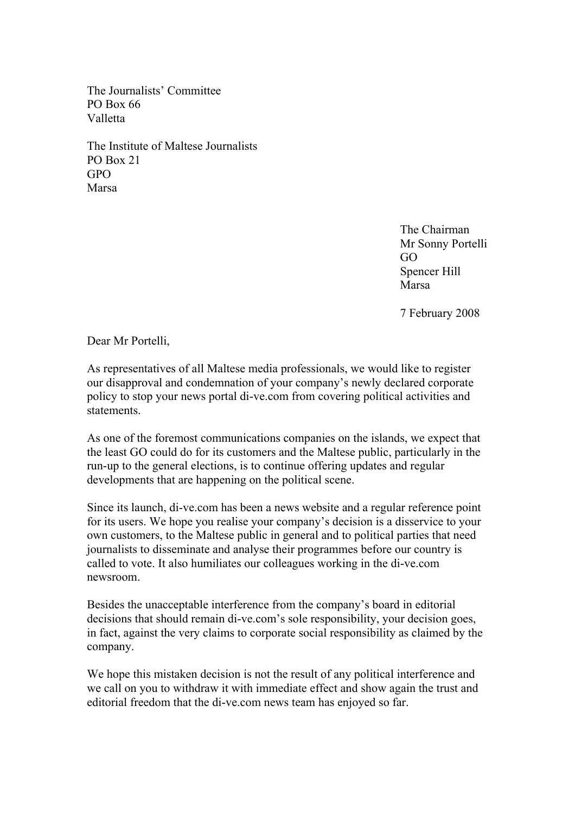The Journalists' Committee PO Box 66 Valletta

The Institute of Maltese Journalists PO Box 21 GPO Marsa

> The Chairman Mr Sonny Portelli GO Spencer Hill Marsa

7 February 2008

Dear Mr Portelli,

As representatives of all Maltese media professionals, we would like to register our disapproval and condemnation of your company's newly declared corporate policy to stop your news portal di-ve.com from covering political activities and statements.

As one of the foremost communications companies on the islands, we expect that the least GO could do for its customers and the Maltese public, particularly in the run-up to the general elections, is to continue offering updates and regular developments that are happening on the political scene.

Since its launch, di-ve.com has been a news website and a regular reference point for its users. We hope you realise your company's decision is a disservice to your own customers, to the Maltese public in general and to political parties that need journalists to disseminate and analyse their programmes before our country is called to vote. It also humiliates our colleagues working in the di-ve.com newsroom.

Besides the unacceptable interference from the company's board in editorial decisions that should remain di-ve.com's sole responsibility, your decision goes, in fact, against the very claims to corporate social responsibility as claimed by the company.

We hope this mistaken decision is not the result of any political interference and we call on you to withdraw it with immediate effect and show again the trust and editorial freedom that the di-ve.com news team has enjoyed so far.